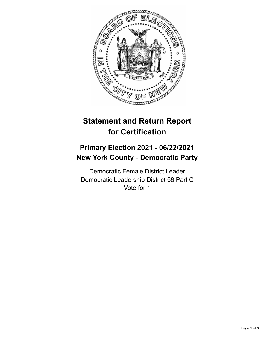

## **Statement and Return Report for Certification**

## **Primary Election 2021 - 06/22/2021 New York County - Democratic Party**

Democratic Female District Leader Democratic Leadership District 68 Part C Vote for 1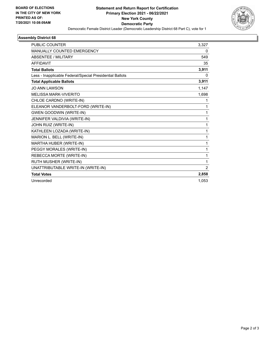

## **Assembly District 68**

| <b>PUBLIC COUNTER</b>                                    | 3,327    |
|----------------------------------------------------------|----------|
| MANUALLY COUNTED EMERGENCY                               | 0        |
| <b>ABSENTEE / MILITARY</b>                               | 549      |
| <b>AFFIDAVIT</b>                                         | 35       |
| <b>Total Ballots</b>                                     | 3,911    |
| Less - Inapplicable Federal/Special Presidential Ballots | $\Omega$ |
| <b>Total Applicable Ballots</b>                          | 3,911    |
| <b>JO ANN LAWSON</b>                                     | 1,147    |
| <b>MFI ISSA MARK-VIVERITO</b>                            | 1,698    |
| CHLOE CARDNO (WRITE-IN)                                  |          |
| ELEANOR VANDERBOLT-FORD (WRITE-IN)                       | 1        |
| <b>GWEN GOODWIN (WRITE-IN)</b>                           | 1        |
| JENNIFER VALDIVIA (WRITE-IN)                             | 1        |
| JOHN RUIZ (WRITE-IN)                                     | 1        |
| KATHLEEN LOZADA (WRITE-IN)                               | 1        |
| MARION L. BELL (WRITE-IN)                                | 1        |
| MARTHA HUBER (WRITE-IN)                                  | 1        |
| PEGGY MORALES (WRITE-IN)                                 | 1        |
| REBECCA MORTE (WRITE-IN)                                 | 1        |
| RUTH MUSHER (WRITE-IN)                                   | 1        |
| UNATTRIBUTABLE WRITE-IN (WRITE-IN)                       | 2        |
| <b>Total Votes</b>                                       | 2,858    |
| Unrecorded                                               | 1,053    |